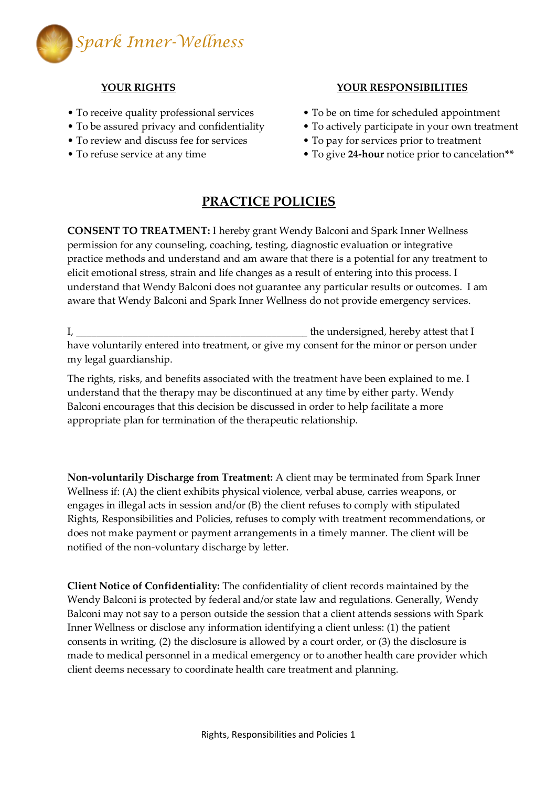

- 
- 
- To review and discuss fee for services To pay for services prior to treatment
- 

## **YOUR RIGHTS YOUR RESPONSIBILITIES**

- To receive quality professional services To be on time for scheduled appointment
- To be assured privacy and confidentiality To actively participate in your own treatment
	-
- To refuse service at any time To give **24-hour** notice prior to cancelation**\*\***

## **PRACTICE POLICIES**

**CONSENT TO TREATMENT:** I hereby grant Wendy Balconi and Spark Inner Wellness permission for any counseling, coaching, testing, diagnostic evaluation or integrative practice methods and understand and am aware that there is a potential for any treatment to elicit emotional stress, strain and life changes as a result of entering into this process. I understand that Wendy Balconi does not guarantee any particular results or outcomes. I am aware that Wendy Balconi and Spark Inner Wellness do not provide emergency services.

I, \_\_\_\_\_\_\_\_\_\_\_\_\_\_\_\_\_\_\_\_\_\_\_\_\_\_\_\_\_\_\_\_\_\_\_\_\_\_\_\_\_\_\_\_\_ the undersigned, hereby attest that I have voluntarily entered into treatment, or give my consent for the minor or person under my legal guardianship.

The rights, risks, and benefits associated with the treatment have been explained to me. I understand that the therapy may be discontinued at any time by either party. Wendy Balconi encourages that this decision be discussed in order to help facilitate a more appropriate plan for termination of the therapeutic relationship.

**Non-voluntarily Discharge from Treatment:** A client may be terminated from Spark Inner Wellness if: (A) the client exhibits physical violence, verbal abuse, carries weapons, or engages in illegal acts in session and/or (B) the client refuses to comply with stipulated Rights, Responsibilities and Policies, refuses to comply with treatment recommendations, or does not make payment or payment arrangements in a timely manner. The client will be notified of the non-voluntary discharge by letter.

**Client Notice of Confidentiality:** The confidentiality of client records maintained by the Wendy Balconi is protected by federal and/or state law and regulations. Generally, Wendy Balconi may not say to a person outside the session that a client attends sessions with Spark Inner Wellness or disclose any information identifying a client unless: (1) the patient consents in writing, (2) the disclosure is allowed by a court order, or (3) the disclosure is made to medical personnel in a medical emergency or to another health care provider which client deems necessary to coordinate health care treatment and planning.